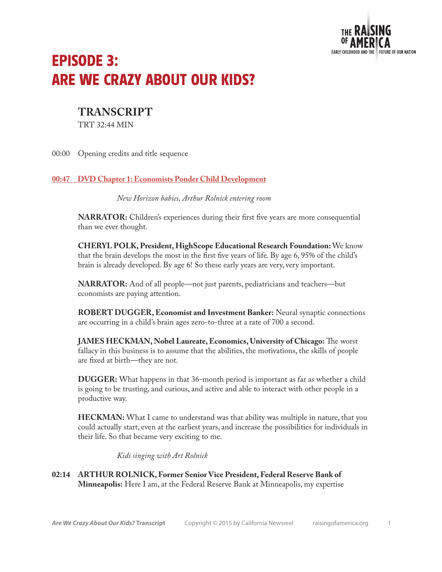

# EPISODE 3: ARE WE CRAZY ABOUT OUR KIDS?

# **TRANSCRIPT**

TRT 32:44 MIN

00:00 Opening credits and title sequence

## **00:47 DVD Chapter 1: Economists Ponder Child Development**

*New Horizon babies, Arthur Rolnick entering room*

**NARRATOR:** Children's experiences during their first five years are more consequential than we ever thought.

**CHERYL POLK, President, HighScope Educational Research Foundation:** We know that the brain develops the most in the first five years of life. By age 6, 95% of the child's brain is already developed. By age 6! So these early years are very, very important.

**NARRATOR:** And of all people—not just parents, pediatricians and teachers—but economists are paying attention.

**ROBERT DUGGER, Economist and Investment Banker:** Neural synaptic connections are occurring in a child's brain ages zero-to-three at a rate of 700 a second.

**JAMES HECKMAN, Nobel Laureate, Economics, University of Chicago:** The worst fallacy in this business is to assume that the abilities, the motivations, the skills of people are fixed at birth—they are not.

**DUGGER:** What happens in that 36-month period is important as far as whether a child is going to be trusting, and curious, and active and able to interact with other people in a productive way.

**HECKMAN:** What I came to understand was that ability was multiple in nature, that you could actually start, even at the earliest years, and increase the possibilities for individuals in their life. So that became very exciting to me.

*Kids singing with Art Rolnick*

# **02:14 ARTHUR ROLNICK, Former Senior Vice President, Federal Reserve Bank of Minneapolis:** Here I am, at the Federal Reserve Bank at Minneapolis, my expertise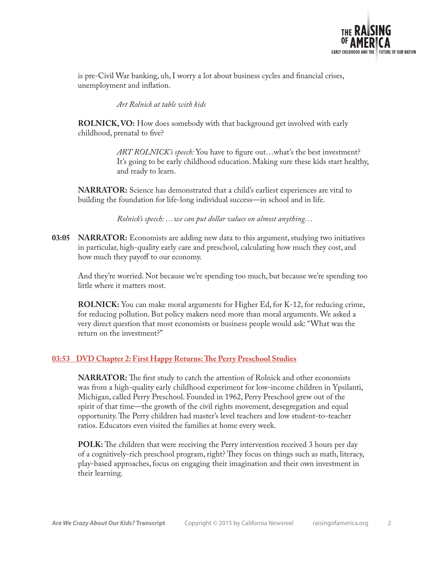

is pre-Civil War banking, uh, I worry a lot about business cycles and financial crises, unemployment and inflation.

*Art Rolnick at table with kids*

**ROLNICK, VO:** How does somebody with that background get involved with early childhood, prenatal to five?

> *ART ROLNICK's speech:* You have to figure out…what's the best investment? It's going to be early childhood education. Making sure these kids start healthy, and ready to learn.

**NARRATOR:** Science has demonstrated that a child's earliest experiences are vital to building the foundation for life-long individual success—in school and in life.

*Rolnick's speech: …we can put dollar values on almost anything…*

**03:05 NARRATOR:** Economists are adding new data to this argument, studying two initiatives in particular, high-quality early care and preschool, calculating how much they cost, and how much they payoff to our economy.

And they're worried. Not because we're spending too much, but because we're spending too little where it matters most.

**ROLNICK:** You can make moral arguments for Higher Ed, for K-12, for reducing crime, for reducing pollution. But policy makers need more than moral arguments. We asked a very direct question that most economists or business people would ask: "What was the return on the investment?"

#### **03:53 DVD Chapter 2: First Happy Returns: The Perry Preschool Studies**

**NARRATOR:** The first study to catch the attention of Rolnick and other economists was from a high-quality early childhood experiment for low-income children in Ypsilanti, Michigan, called Perry Preschool. Founded in 1962, Perry Preschool grew out of the spirit of that time—the growth of the civil rights movement, desegregation and equal opportunity. The Perry children had master's level teachers and low student-to-teacher ratios. Educators even visited the families at home every week.

**POLK:** The children that were receiving the Perry intervention received 3 hours per day of a cognitively-rich preschool program, right? They focus on things such as math, literacy, play-based approaches, focus on engaging their imagination and their own investment in their learning.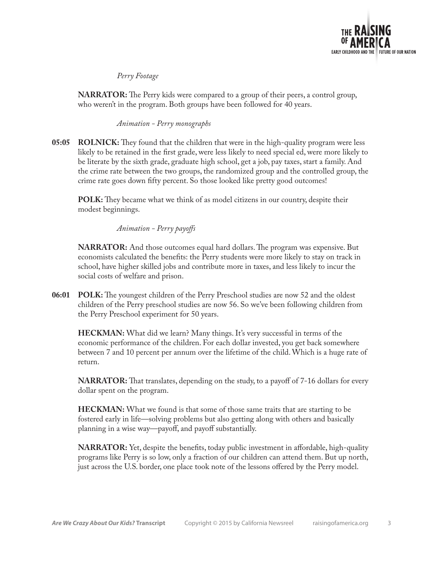

*Perry Footage*

**NARRATOR:** The Perry kids were compared to a group of their peers, a control group, who weren't in the program. Both groups have been followed for 40 years.

*Animation - Perry monographs*

**05:05 ROLNICK:** They found that the children that were in the high-quality program were less likely to be retained in the first grade, were less likely to need special ed, were more likely to be literate by the sixth grade, graduate high school, get a job, pay taxes, start a family. And the crime rate between the two groups, the randomized group and the controlled group, the crime rate goes down fifty percent. So those looked like pretty good outcomes!

**POLK:** They became what we think of as model citizens in our country, despite their modest beginnings.

*Animation - Perry payoffs*

**NARRATOR:** And those outcomes equal hard dollars. The program was expensive. But economists calculated the benefits: the Perry students were more likely to stay on track in school, have higher skilled jobs and contribute more in taxes, and less likely to incur the social costs of welfare and prison.

**06:01 POLK:** The youngest children of the Perry Preschool studies are now 52 and the oldest children of the Perry preschool studies are now 56. So we've been following children from the Perry Preschool experiment for 50 years.

**HECKMAN:** What did we learn? Many things. It's very successful in terms of the economic performance of the children. For each dollar invested, you get back somewhere between 7 and 10 percent per annum over the lifetime of the child. Which is a huge rate of return.

**NARRATOR:** That translates, depending on the study, to a payoff of 7-16 dollars for every dollar spent on the program.

**HECKMAN:** What we found is that some of those same traits that are starting to be fostered early in life—solving problems but also getting along with others and basically planning in a wise way—payoff, and payoff substantially.

**NARRATOR:** Yet, despite the benefits, today public investment in affordable, high-quality programs like Perry is so low, only a fraction of our children can attend them. But up north, just across the U.S. border, one place took note of the lessons offered by the Perry model.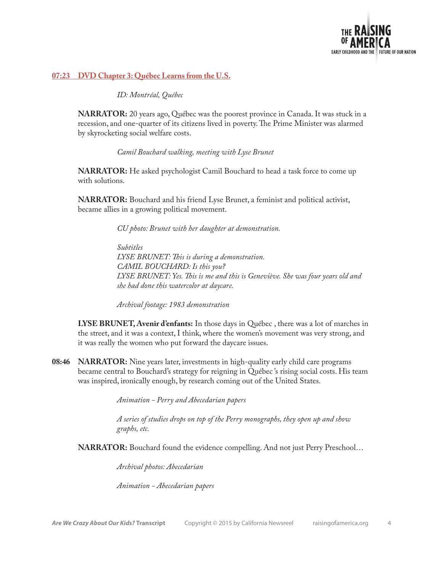

#### **07:23 DVD Chapter 3: Québec Learns from the U.S.**

*ID: Montréal, Québec*

**NARRATOR:** 20 years ago, Québec was the poorest province in Canada. It was stuck in a recession, and one-quarter of its citizens lived in poverty. The Prime Minister was alarmed by skyrocketing social welfare costs.

*Camil Bouchard walking, meeting with Lyse Brunet*

**NARRATOR:** He asked psychologist Camil Bouchard to head a task force to come up with solutions.

**NARRATOR:** Bouchard and his friend Lyse Brunet, a feminist and political activist, became allies in a growing political movement.

*CU photo: Brunet with her daughter at demonstration.*

*Subtitles LYSE BRUNET: This is during a demonstration. CAMIL BOUCHARD: Is this you? LYSE BRUNET: Yes. This is me and this is Geneviève. She was four years old and she had done this watercolor at daycare.*

*Archival footage: 1983 demonstration*

**LYSE BRUNET, Avenir d'enfants:** In those days in Québec , there was a lot of marches in the street, and it was a context, I think, where the women's movement was very strong, and it was really the women who put forward the daycare issues.

**08:46 NARRATOR:** Nine years later, investments in high-quality early child care programs became central to Bouchard's strategy for reigning in Québec 's rising social costs. His team was inspired, ironically enough, by research coming out of the United States.

*Animation - Perry and Abecedarian papers*

*A series of studies drops on top of the Perry monographs, they open up and show graphs, etc.*

**NARRATOR:** Bouchard found the evidence compelling. And not just Perry Preschool...

*Archival photos: Abecedarian*

*Animation - Abecedarian papers*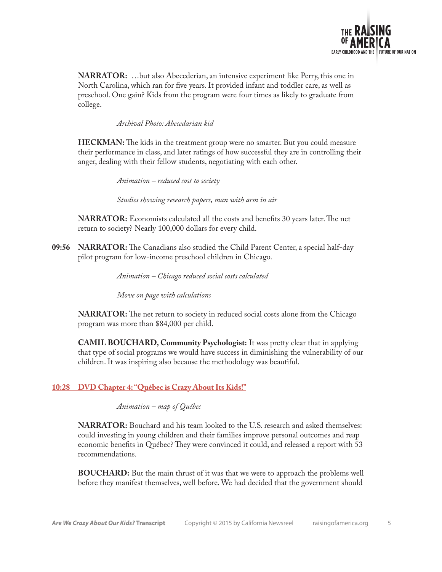

**NARRATOR:** …but also Abecederian, an intensive experiment like Perry, this one in North Carolina, which ran for five years. It provided infant and toddler care, as well as preschool. One gain? Kids from the program were four times as likely to graduate from college.

*Archival Photo: Abecedarian kid*

**HECKMAN:** The kids in the treatment group were no smarter. But you could measure their performance in class, and later ratings of how successful they are in controlling their anger, dealing with their fellow students, negotiating with each other.

*Animation – reduced cost to society*

*Studies showing research papers, man with arm in air*

**NARRATOR:** Economists calculated all the costs and benefits 30 years later. The net return to society? Nearly 100,000 dollars for every child.

**09:56 NARRATOR:** The Canadians also studied the Child Parent Center, a special half-day pilot program for low-income preschool children in Chicago.

*Animation – Chicago reduced social costs calculated*

*Move on page with calculations*

**NARRATOR:** The net return to society in reduced social costs alone from the Chicago program was more than \$84,000 per child.

**CAMIL BOUCHARD, Community Psychologist:** It was pretty clear that in applying that type of social programs we would have success in diminishing the vulnerability of our children. It was inspiring also because the methodology was beautiful.

#### **10:28 DVD Chapter 4: "Québec is Crazy About Its Kids!"**

*Animation – map of Québec* 

**NARRATOR:** Bouchard and his team looked to the U.S. research and asked themselves: could investing in young children and their families improve personal outcomes and reap economic benefits in Québec? They were convinced it could, and released a report with 53 recommendations.

**BOUCHARD:** But the main thrust of it was that we were to approach the problems well before they manifest themselves, well before. We had decided that the government should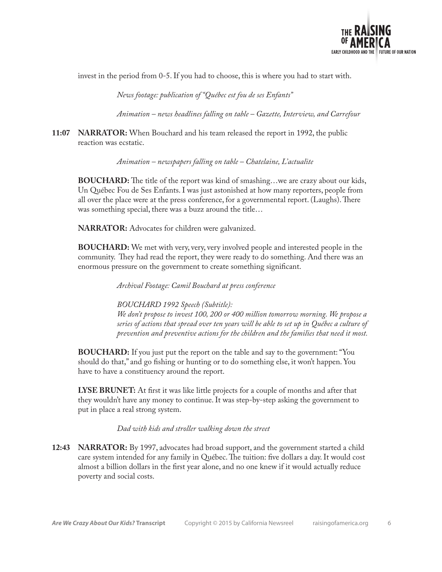

invest in the period from 0-5. If you had to choose, this is where you had to start with.

*News footage: publication of "Québec est fou de ses Enfants"*

*Animation – news headlines falling on table – Gazette, Interview, and Carrefour*

**11:07 NARRATOR:** When Bouchard and his team released the report in 1992, the public reaction was ecstatic.

*Animation – newspapers falling on table – Chatelaine, L'actualite*

**BOUCHARD:** The title of the report was kind of smashing...we are crazy about our kids, Un Québec Fou de Ses Enfants. I was just astonished at how many reporters, people from all over the place were at the press conference, for a governmental report. (Laughs). There was something special, there was a buzz around the title…

**NARRATOR:** Advocates for children were galvanized.

**BOUCHARD:** We met with very, very, very involved people and interested people in the community. They had read the report, they were ready to do something. And there was an enormous pressure on the government to create something significant.

*Archival Footage: Camil Bouchard at press conference*

*BOUCHARD 1992 Speech (Subtitle):* 

*We don't propose to invest 100, 200 or 400 million tomorrow morning. We propose a series of actions that spread over ten years will be able to set up in Québec a culture of prevention and preventive actions for the children and the families that need it most.*

**BOUCHARD:** If you just put the report on the table and say to the government: "You should do that," and go fishing or hunting or to do something else, it won't happen. You have to have a constituency around the report.

**LYSE BRUNET:** At first it was like little projects for a couple of months and after that they wouldn't have any money to continue. It was step-by-step asking the government to put in place a real strong system.

*Dad with kids and stroller walking down the street*

**12:43 NARRATOR:** By 1997, advocates had broad support, and the government started a child care system intended for any family in Québec. The tuition: five dollars a day. It would cost almost a billion dollars in the first year alone, and no one knew if it would actually reduce poverty and social costs.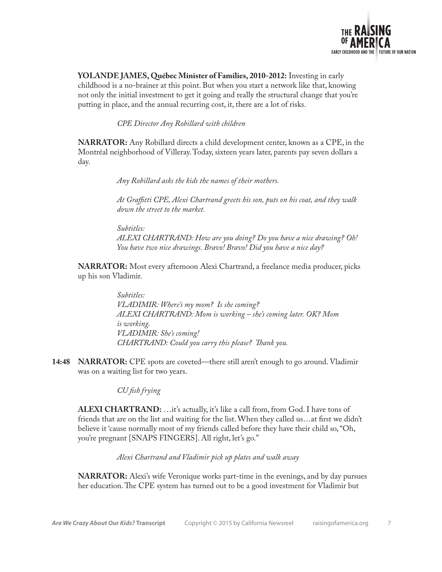

**YOLANDE JAMES, Québec Minister of Families, 2010-2012:** Investing in early childhood is a no-brainer at this point. But when you start a network like that, knowing not only the initial investment to get it going and really the structural change that you're putting in place, and the annual recurring cost, it, there are a lot of risks.

*CPE Director Any Robillard with children*

**NARRATOR:** Any Robillard directs a child development center, known as a CPE, in the Montréal neighborhood of Villeray. Today, sixteen years later, parents pay seven dollars a day.

*Any Robillard asks the kids the names of their mothers.*

*At Graffitti CPE, Alexi Chartrand greets his son, puts on his coat, and they walk down the street to the market.*

*Subtitles: ALEXI CHARTRAND: How are you doing? Do you have a nice drawing? Oh! You have two nice drawings. Bravo! Bravo! Did you have a nice day?*

**NARRATOR:** Most every afternoon Alexi Chartrand, a freelance media producer, picks up his son Vladimir.

> *Subtitles: VLADIMIR: Where's my mom? Is she coming? ALEXI CHARTRAND: Mom is working – she's coming later. OK? Mom is working. VLADIMIR: She's coming! CHARTRAND: Could you carry this please? Thank you.*

**14:48 NARRATOR:** CPE spots are coveted—there still aren't enough to go around. Vladimir was on a waiting list for two years.

*CU fish frying*

**ALEXI CHARTRAND:** …it's actually, it's like a call from, from God. I have tons of friends that are on the list and waiting for the list. When they called us…at first we didn't believe it 'cause normally most of my friends called before they have their child so, "Oh, you're pregnant [SNAPS FINGERS]. All right, let's go."

*Alexi Chartrand and Vladimir pick up plates and walk away*

**NARRATOR:** Alexi's wife Veronique works part-time in the evenings, and by day pursues her education. The CPE system has turned out to be a good investment for Vladimir but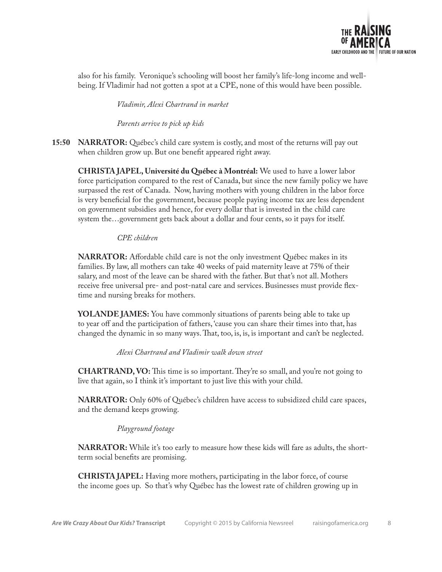

also for his family. Veronique's schooling will boost her family's life-long income and wellbeing. If Vladimir had not gotten a spot at a CPE, none of this would have been possible.

*Vladimir, Alexi Chartrand in market*

*Parents arrive to pick up kids*

**15:50 NARRATOR:** Québec's child care system is costly, and most of the returns will pay out when children grow up. But one benefit appeared right away.

**CHRISTA JAPEL, Université du Québec à Montréal:** We used to have a lower labor force participation compared to the rest of Canada, but since the new family policy we have surpassed the rest of Canada. Now, having mothers with young children in the labor force is very beneficial for the government, because people paying income tax are less dependent on government subsidies and hence, for every dollar that is invested in the child care system the…government gets back about a dollar and four cents, so it pays for itself.

*CPE children*

**NARRATOR:** Affordable child care is not the only investment Québec makes in its families. By law, all mothers can take 40 weeks of paid maternity leave at 75% of their salary, and most of the leave can be shared with the father. But that's not all. Mothers receive free universal pre- and post-natal care and services. Businesses must provide flextime and nursing breaks for mothers.

**YOLANDE JAMES:** You have commonly situations of parents being able to take up to year off and the participation of fathers, 'cause you can share their times into that, has changed the dynamic in so many ways. That, too, is, is, is important and can't be neglected.

*Alexi Chartrand and Vladimir walk down street* 

**CHARTRAND, VO:** This time is so important. They're so small, and you're not going to live that again, so I think it's important to just live this with your child.

**NARRATOR:** Only 60% of Québec's children have access to subsidized child care spaces, and the demand keeps growing.

#### *Playground footage*

**NARRATOR:** While it's too early to measure how these kids will fare as adults, the shortterm social benefits are promising.

**CHRISTA JAPEL:** Having more mothers, participating in the labor force, of course the income goes up. So that's why Québec has the lowest rate of children growing up in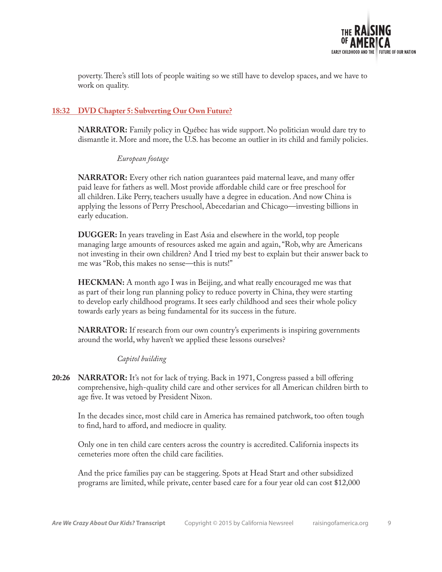

poverty. There's still lots of people waiting so we still have to develop spaces, and we have to work on quality.

# **18:32 DVD Chapter 5: Subverting Our Own Future?**

**NARRATOR:** Family policy in Québec has wide support. No politician would dare try to dismantle it. More and more, the U.S. has become an outlier in its child and family policies.

*European footage*

**NARRATOR:** Every other rich nation guarantees paid maternal leave, and many offer paid leave for fathers as well. Most provide affordable child care or free preschool for all children. Like Perry, teachers usually have a degree in education. And now China is applying the lessons of Perry Preschool, Abecedarian and Chicago—investing billions in early education.

**DUGGER:** In years traveling in East Asia and elsewhere in the world, top people managing large amounts of resources asked me again and again, "Rob, why are Americans not investing in their own children? And I tried my best to explain but their answer back to me was "Rob, this makes no sense—this is nuts!"

**HECKMAN:** A month ago I was in Beijing, and what really encouraged me was that as part of their long run planning policy to reduce poverty in China, they were starting to develop early childhood programs. It sees early childhood and sees their whole policy towards early years as being fundamental for its success in the future.

**NARRATOR:** If research from our own country's experiments is inspiring governments around the world, why haven't we applied these lessons ourselves?

*Capitol building*

**20:26 NARRATOR:** It's not for lack of trying. Back in 1971, Congress passed a bill offering comprehensive, high-quality child care and other services for all American children birth to age five. It was vetoed by President Nixon.

In the decades since, most child care in America has remained patchwork, too often tough to find, hard to afford, and mediocre in quality.

Only one in ten child care centers across the country is accredited. California inspects its cemeteries more often the child care facilities.

And the price families pay can be staggering. Spots at Head Start and other subsidized programs are limited, while private, center based care for a four year old can cost \$12,000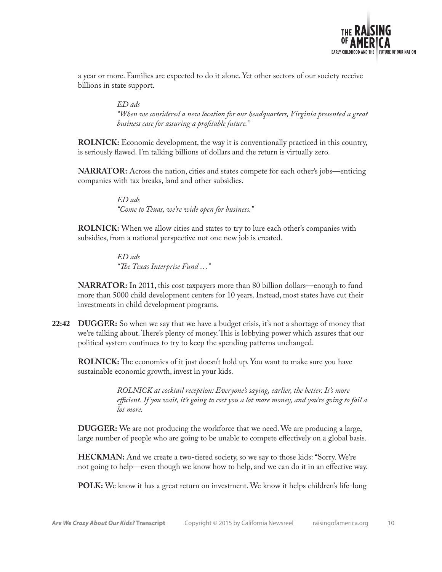

a year or more. Families are expected to do it alone. Yet other sectors of our society receive billions in state support.

> *ED ads "When we considered a new location for our headquarters, Virginia presented a great business case for assuring a profitable future."*

**ROLNICK:** Economic development, the way it is conventionally practiced in this country, is seriously flawed. I'm talking billions of dollars and the return is virtually zero.

**NARRATOR:** Across the nation, cities and states compete for each other's jobs—enticing companies with tax breaks, land and other subsidies.

> *ED ads "Come to Texas, we're wide open for business."*

**ROLNICK:** When we allow cities and states to try to lure each other's companies with subsidies, from a national perspective not one new job is created.

> *ED ads "The Texas Interprise Fund …"*

**NARRATOR:** In 2011, this cost taxpayers more than 80 billion dollars—enough to fund more than 5000 child development centers for 10 years. Instead, most states have cut their investments in child development programs.

**22:42 DUGGER:** So when we say that we have a budget crisis, it's not a shortage of money that we're talking about. There's plenty of money. This is lobbying power which assures that our political system continues to try to keep the spending patterns unchanged.

**ROLNICK:** The economics of it just doesn't hold up. You want to make sure you have sustainable economic growth, invest in your kids.

> *ROLNICK at cocktail reception: Everyone's saying, earlier, the better. It's more efficient. If you wait, it's going to cost you a lot more money, and you're going to fail a lot more.*

**DUGGER:** We are not producing the workforce that we need. We are producing a large, large number of people who are going to be unable to compete effectively on a global basis.

**HECKMAN:** And we create a two-tiered society, so we say to those kids: "Sorry. We're not going to help—even though we know how to help, and we can do it in an effective way.

**POLK:** We know it has a great return on investment. We know it helps children's life-long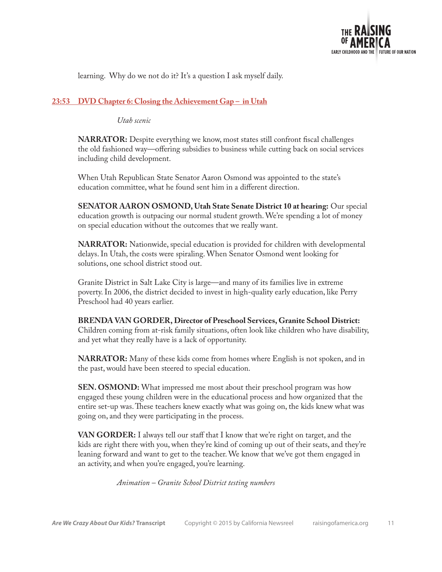

learning. Why do we not do it? It's a question I ask myself daily.

## **23:53 DVD Chapter 6: Closing the Achievement Gap – in Utah**

*Utah scenic*

**NARRATOR:** Despite everything we know, most states still confront fiscal challenges the old fashioned way—offering subsidies to business while cutting back on social services including child development.

When Utah Republican State Senator Aaron Osmond was appointed to the state's education committee, what he found sent him in a different direction.

**SENATOR AARON OSMOND, Utah State Senate District 10 at hearing:** Our special education growth is outpacing our normal student growth. We're spending a lot of money on special education without the outcomes that we really want.

**NARRATOR:** Nationwide, special education is provided for children with developmental delays. In Utah, the costs were spiraling. When Senator Osmond went looking for solutions, one school district stood out.

Granite District in Salt Lake City is large—and many of its families live in extreme poverty. In 2006, the district decided to invest in high-quality early education, like Perry Preschool had 40 years earlier.

**BRENDA VAN GORDER, Director of Preschool Services, Granite School District:** Children coming from at-risk family situations, often look like children who have disability, and yet what they really have is a lack of opportunity.

**NARRATOR:** Many of these kids come from homes where English is not spoken, and in the past, would have been steered to special education.

**SEN. OSMOND:** What impressed me most about their preschool program was how engaged these young children were in the educational process and how organized that the entire set-up was. These teachers knew exactly what was going on, the kids knew what was going on, and they were participating in the process.

**VAN GORDER:** I always tell our staff that I know that we're right on target, and the kids are right there with you, when they're kind of coming up out of their seats, and they're leaning forward and want to get to the teacher. We know that we've got them engaged in an activity, and when you're engaged, you're learning.

*Animation – Granite School District testing numbers*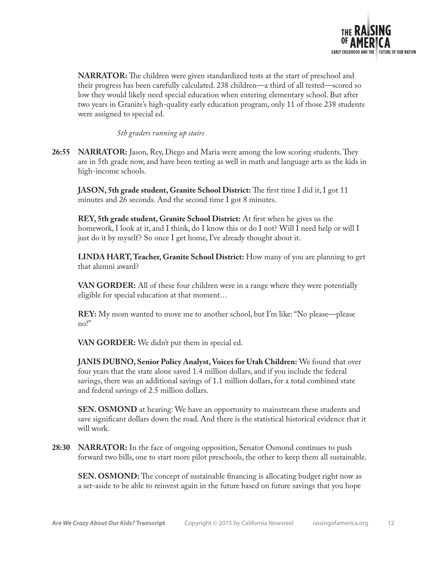

**NARRATOR:** The children were given standardized tests at the start of preschool and their progress has been carefully calculated. 238 children—a third of all tested—scored so low they would likely need special education when entering elementary school. But after two years in Granite's high-quality early education program, only 11 of those 238 students were assigned to special ed.

*5th graders running up stairs*

**26:55 NARRATOR:** Jason, Rey, Diego and Maria were among the low scoring students. They are in 5th grade now, and have been testing as well in math and language arts as the kids in high-income schools.

**JASON, 5th grade student, Granite School District:** The first time I did it, I got 11 minutes and 26 seconds. And the second time I got 8 minutes.

**REY, 5th grade student, Granite School District:** At first when he gives us the homework, I look at it, and I think, do I know this or do I not? Will I need help or will I just do it by myself? So once I get home, I've already thought about it.

**LINDA HART, Teacher, Granite School District:** How many of you are planning to get that alumni award?

**VAN GORDER:** All of these four children were in a range where they were potentially eligible for special education at that moment…

**REY:** My mom wanted to move me to another school, but I'm like: "No please—please no!"

**VAN GORDER:** We didn't put them in special ed.

**JANIS DUBNO, Senior Policy Analyst, Voices for Utah Children:** We found that over four years that the state alone saved 1.4 million dollars, and if you include the federal savings, there was an additional savings of 1.1 million dollars, for a total combined state and federal savings of 2.5 million dollars.

**SEN. OSMOND** at hearing: We have an opportunity to mainstream these students and save significant dollars down the road. And there is the statistical historical evidence that it will work.

**28:30 NARRATOR:** In the face of ongoing opposition, Senator Osmond continues to push forward two bills, one to start more pilot preschools, the other to keep them all sustainable.

**SEN. OSMOND:** The concept of sustainable financing is allocating budget right now as a set-aside to be able to reinvest again in the future based on future savings that you hope